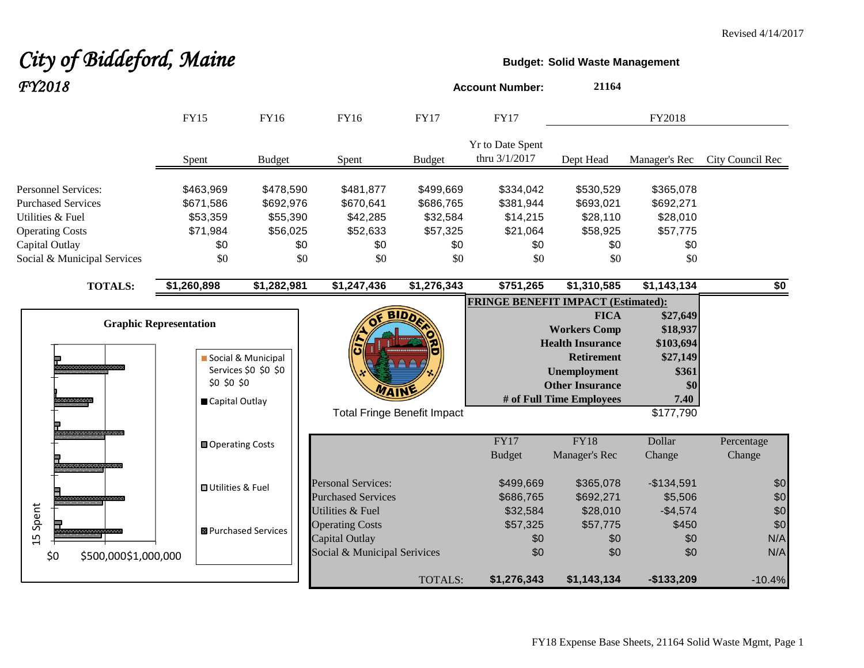# City of Biddeford, Maine **Budget:** Solid Waste Management

| FY2018                                                                  |                                                                |                                            |                                                              |                                    | <b>Account Number:</b>                    | 21164                                                                                                                                                    |                                                                                    |                      |
|-------------------------------------------------------------------------|----------------------------------------------------------------|--------------------------------------------|--------------------------------------------------------------|------------------------------------|-------------------------------------------|----------------------------------------------------------------------------------------------------------------------------------------------------------|------------------------------------------------------------------------------------|----------------------|
|                                                                         | <b>FY15</b>                                                    | FY16                                       | <b>FY16</b>                                                  | <b>FY17</b>                        | <b>FY17</b>                               |                                                                                                                                                          | FY2018                                                                             |                      |
|                                                                         | Spent                                                          | <b>Budget</b>                              | Spent                                                        | <b>Budget</b>                      | Yr to Date Spent<br>thru 3/1/2017         | Dept Head                                                                                                                                                | Manager's Rec                                                                      | City Council Rec     |
| Personnel Services:                                                     | \$463,969                                                      | \$478,590                                  | \$481,877                                                    | \$499,669                          | \$334,042                                 | \$530,529                                                                                                                                                | \$365,078                                                                          |                      |
| <b>Purchased Services</b><br>Utilities & Fuel<br><b>Operating Costs</b> | \$671,586<br>\$53,359<br>\$71,984                              | \$692,976<br>\$55,390<br>\$56,025          | \$670,641<br>\$42,285<br>\$52,633                            | \$686,765<br>\$32,584<br>\$57,325  | \$381,944<br>\$14,215<br>\$21,064         | \$693,021<br>\$28,110<br>\$58,925                                                                                                                        | \$692,271<br>\$28,010<br>\$57,775                                                  |                      |
| Capital Outlay<br>Social & Municipal Services                           | \$0<br>\$0                                                     | \$0<br>\$0                                 | \$0<br>\$0                                                   | \$0<br>\$0                         | \$0<br>\$0                                | \$0<br>\$0                                                                                                                                               | \$0<br>\$0                                                                         |                      |
| <b>TOTALS:</b>                                                          | \$1,260,898                                                    | \$1,282,981                                | \$1,247,436                                                  | \$1,276,343                        | $\sqrt{$751,265}$                         | \$1,310,585                                                                                                                                              | \$1,143,134                                                                        | \$0                  |
| aanaanaanaanaan<br>1000000000                                           | <b>Graphic Representation</b><br>\$0 \$0 \$0<br>Capital Outlay | Social & Municipal<br>Services \$0 \$0 \$0 | WAIN                                                         | <b>Total Fringe Benefit Impact</b> | <b>FRINGE BENEFIT IMPACT (Estimated):</b> | <b>FICA</b><br><b>Workers Comp</b><br><b>Health Insurance</b><br><b>Retirement</b><br>Unemployment<br><b>Other Insurance</b><br># of Full Time Employees | \$27,649<br>\$18,937<br>\$103,694<br>\$27,149<br>\$361<br>\$0<br>7.40<br>\$177,790 |                      |
|                                                                         | <b>□</b> Operating Costs                                       |                                            |                                                              |                                    | FY17<br><b>Budget</b>                     | FY18<br>Manager's Rec                                                                                                                                    | Dollar<br>Change                                                                   | Percentage<br>Change |
|                                                                         | <b>□ Utilities &amp; Fuel</b>                                  |                                            | <b>Personal Services:</b><br><b>Purchased Services</b>       |                                    | \$499,669<br>\$686,765                    | \$365,078<br>\$692,271                                                                                                                                   | $-$134,591$<br>\$5,506                                                             | \$0<br>\$0           |
| Spent<br>15                                                             |                                                                | <b>B</b> Purchased Services                | Utilities & Fuel<br><b>Operating Costs</b><br>Capital Outlay |                                    | \$32,584<br>\$57,325<br>\$0               | \$28,010<br>\$57,775<br>\$0                                                                                                                              | $-$4,574$<br>\$450<br>\$0                                                          | \$0<br>\$0<br>N/A    |
| \$500,000\$1,000,000<br>\$0                                             |                                                                |                                            | Social & Municipal Serivices                                 | <b>TOTALS:</b>                     | \$0<br>\$1,276,343                        | \$0<br>\$1,143,134                                                                                                                                       | \$0<br>$-$133,209$                                                                 | N/A<br>$-10.4%$      |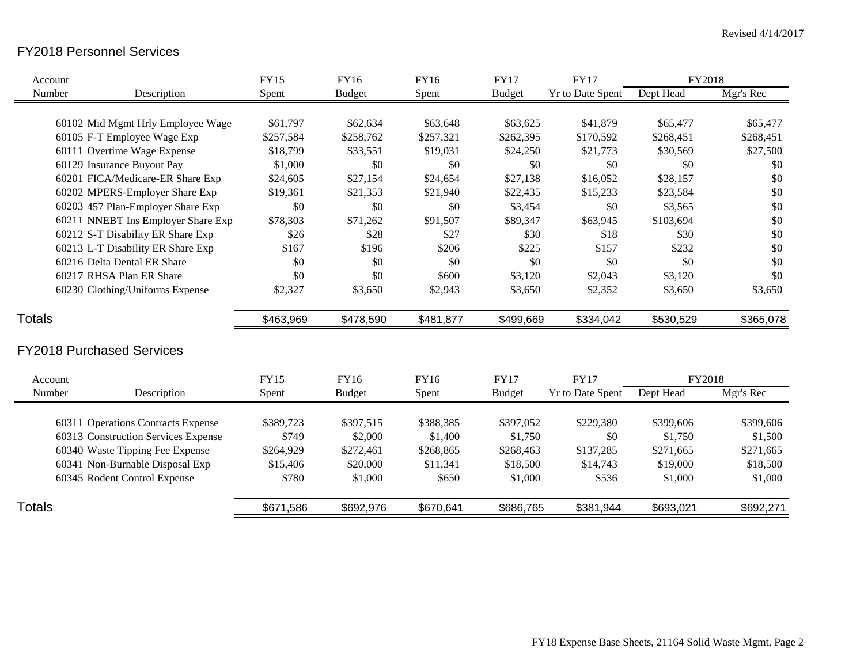## FY2018 Personnel Services

| Account       |                                     | <b>FY15</b> | FY16          | <b>FY16</b> | <b>FY17</b>   | <b>FY17</b>             | FY2018    |           |
|---------------|-------------------------------------|-------------|---------------|-------------|---------------|-------------------------|-----------|-----------|
| Number        | Description                         | Spent       | <b>Budget</b> | Spent       | <b>Budget</b> | Yr to Date Spent        | Dept Head | Mgr's Rec |
|               |                                     |             |               |             |               |                         |           |           |
|               | 60102 Mid Mgmt Hrly Employee Wage   | \$61,797    | \$62,634      | \$63,648    | \$63,625      | \$41,879                | \$65,477  | \$65,477  |
|               | 60105 F-T Employee Wage Exp         | \$257,584   | \$258,762     | \$257,321   | \$262,395     | \$170,592               | \$268,451 | \$268,451 |
|               | 60111 Overtime Wage Expense         | \$18,799    | \$33,551      | \$19,031    | \$24,250      | \$21,773                | \$30,569  | \$27,500  |
|               | 60129 Insurance Buyout Pay          | \$1,000     | \$0           | \$0         | \$0           | \$0                     | \$0       | \$0       |
|               | 60201 FICA/Medicare-ER Share Exp    | \$24,605    | \$27,154      | \$24,654    | \$27,138      | \$16,052                | \$28,157  | \$0       |
|               | 60202 MPERS-Employer Share Exp      | \$19,361    | \$21,353      | \$21,940    | \$22,435      | \$15,233                | \$23,584  | \$0       |
|               | 60203 457 Plan-Employer Share Exp   | \$0         | \$0           | \$0         | \$3,454       | \$0                     | \$3,565   | \$0       |
|               | 60211 NNEBT Ins Employer Share Exp  | \$78,303    | \$71,262      | \$91,507    | \$89,347      | \$63,945                | \$103,694 | \$0       |
|               | 60212 S-T Disability ER Share Exp   | \$26        | \$28          | \$27        | \$30          | \$18                    | \$30      | \$0       |
|               | 60213 L-T Disability ER Share Exp   | \$167       | \$196         | \$206       | \$225         | \$157                   | \$232     | \$0       |
|               | 60216 Delta Dental ER Share         | \$0         | \$0           | \$0         | \$0           | \$0                     | \$0       | \$0       |
|               | 60217 RHSA Plan ER Share            | \$0         | \$0           | \$600       | \$3,120       | \$2,043                 | \$3,120   | \$0       |
|               | 60230 Clothing/Uniforms Expense     | \$2,327     | \$3,650       | \$2,943     | \$3,650       | \$2,352                 | \$3,650   | \$3,650   |
| <b>Totals</b> |                                     | \$463,969   | \$478,590     | \$481,877   | \$499,669     | \$334,042               | \$530,529 | \$365,078 |
|               | <b>FY2018 Purchased Services</b>    |             |               |             |               |                         |           |           |
| Account       |                                     | <b>FY15</b> | FY16          | <b>FY16</b> | <b>FY17</b>   | <b>FY17</b>             | FY2018    |           |
| Number        | Description                         | Spent       | <b>Budget</b> | Spent       | <b>Budget</b> | <b>Yr to Date Spent</b> | Dept Head | Mgr's Rec |
|               | 60311 Operations Contracts Expense  | \$389,723   | \$397,515     | \$388,385   | \$397,052     | \$229,380               | \$399,606 | \$399,606 |
|               | 60313 Construction Services Expense | \$749       | \$2,000       | \$1,400     | \$1,750       | \$0                     | \$1,750   | \$1,500   |
|               | 60340 Waste Tipping Fee Expense     | \$264,929   | \$272,461     | \$268,865   | \$268,463     | \$137,285               | \$271,665 | \$271,665 |
|               | 60341 Non-Burnable Disposal Exp     | \$15,406    | \$20,000      | \$11,341    | \$18,500      | \$14,743                | \$19,000  | \$18,500  |
|               | 60345 Rodent Control Expense        | \$780       | \$1,000       | \$650       | \$1,000       | \$536                   | \$1,000   | \$1,000   |
|               |                                     |             |               |             |               |                         |           |           |
| <b>Totals</b> |                                     | \$671,586   | \$692,976     | \$670,641   | \$686,765     | \$381,944               | \$693,021 | \$692,271 |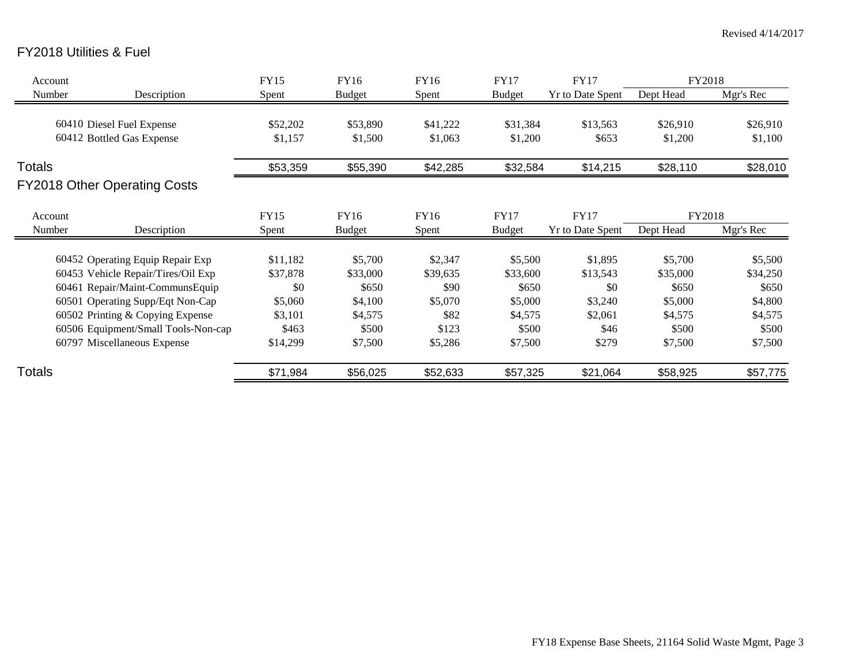## FY2018 Utilities & Fuel

| Account       |                                     | <b>FY15</b> | FY16          | FY16     | <b>FY17</b>      | <b>FY17</b>             | FY2018    |           |
|---------------|-------------------------------------|-------------|---------------|----------|------------------|-------------------------|-----------|-----------|
| Number        | Description                         | Spent       | <b>Budget</b> | Spent    | <b>Budget</b>    | <b>Yr to Date Spent</b> | Dept Head | Mgr's Rec |
|               |                                     |             |               |          |                  |                         |           |           |
|               | 60410 Diesel Fuel Expense           | \$52,202    | \$53,890      | \$41,222 | \$31,384         | \$13,563                | \$26,910  | \$26,910  |
|               | 60412 Bottled Gas Expense           | \$1,157     | \$1,500       | \$1,063  | \$1,200<br>\$653 |                         | \$1,200   | \$1,100   |
| <b>Totals</b> |                                     | \$53,359    | \$55,390      | \$42,285 | \$32,584         | \$14,215                | \$28,110  | \$28,010  |
|               | FY2018 Other Operating Costs        |             |               |          |                  |                         |           |           |
| Account       |                                     | <b>FY15</b> | FY16          | FY16     | <b>FY17</b>      | <b>FY17</b>             | FY2018    |           |
| Number        | Description                         | Spent       | <b>Budget</b> | Spent    | <b>Budget</b>    | Yr to Date Spent        | Dept Head | Mgr's Rec |
|               |                                     |             |               |          |                  |                         |           |           |
|               | 60452 Operating Equip Repair Exp    | \$11,182    | \$5,700       | \$2,347  | \$5,500          | \$1,895                 | \$5,700   | \$5,500   |
|               | 60453 Vehicle Repair/Tires/Oil Exp  | \$37,878    | \$33,000      | \$39,635 | \$33,600         | \$13,543                | \$35,000  | \$34,250  |
|               | 60461 Repair/Maint-CommunsEquip     | \$0         | \$650         | \$90     | \$650            | \$0                     | \$650     | \$650     |
|               | 60501 Operating Supp/Eqt Non-Cap    | \$5,060     | \$4,100       | \$5,070  | \$5,000          | \$3,240                 | \$5,000   | \$4,800   |
|               | 60502 Printing & Copying Expense    | \$3,101     | \$4,575       | \$82     | \$4,575          | \$2,061                 | \$4,575   | \$4,575   |
|               | 60506 Equipment/Small Tools-Non-cap | \$463       | \$500         | \$123    | \$500            | \$46                    | \$500     | \$500     |
|               | 60797 Miscellaneous Expense         | \$14,299    | \$7,500       | \$5,286  | \$7,500          | \$279                   | \$7,500   | \$7,500   |
| Totals        |                                     | \$71,984    | \$56,025      | \$52,633 | \$57,325         | \$21,064                | \$58,925  | \$57,775  |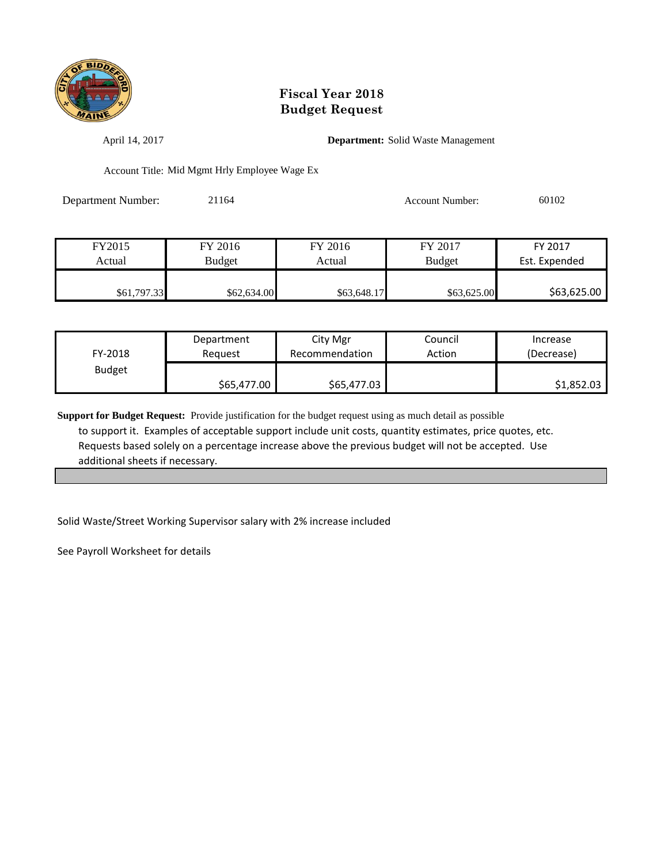

April 14, 2017 **Department:** Solid Waste Management

Account Title: Mid Mgmt Hrly Employee Wage Ex

Department Number: 21164 Account Number: 60102

| FY2015      | FY 2016       | FY 2016     | FY 2017       | FY 2017       |
|-------------|---------------|-------------|---------------|---------------|
| Actual      | <b>Budget</b> | Actual      | <b>Budget</b> | Est. Expended |
|             |               |             |               |               |
| \$61,797.33 | \$62,634.00   | \$63,648.17 | \$63,625.00   | \$63,625.00   |

| FY-2018       | Department  | City Mgr       | Council | Increase   |
|---------------|-------------|----------------|---------|------------|
|               | Reauest     | Recommendation | Action  | (Decrease) |
| <b>Budget</b> | \$65,477.00 |                |         | \$1,852.03 |

**Support for Budget Request:** Provide justification for the budget request using as much detail as possible to support it. Examples of acceptable support include unit costs, quantity estimates, price quotes, etc. Requests based solely on a percentage increase above the previous budget will not be accepted. Use additional sheets if necessary.

Solid Waste/Street Working Supervisor salary with 2% increase included

See Payroll Worksheet for details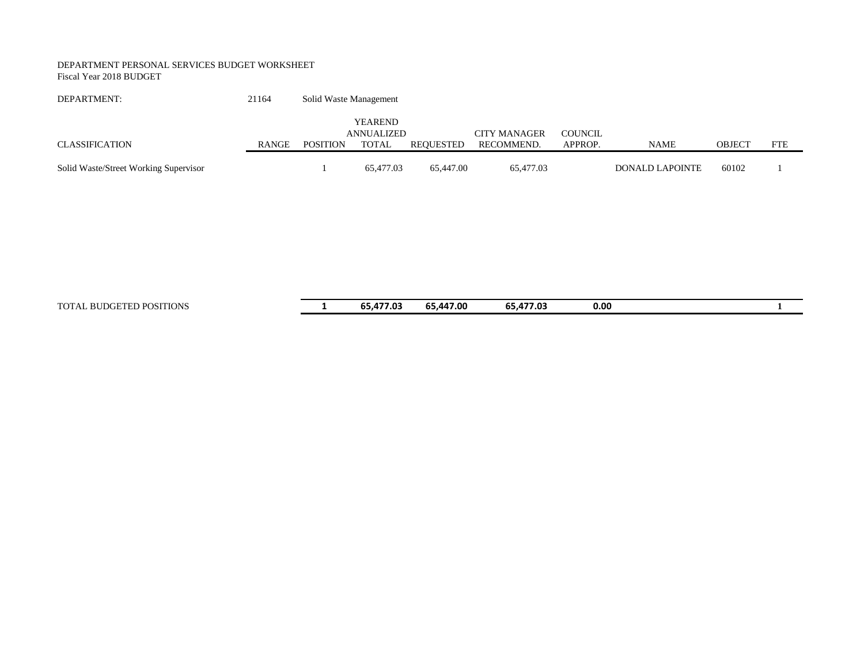#### DEPARTMENT PERSONAL SERVICES BUDGET WORKSHEET Fiscal Year 2018 BUDGET

| DEPARTMENT:                           | 21164 | Solid Waste Management |                              |           |                     |         |                 |               |            |  |
|---------------------------------------|-------|------------------------|------------------------------|-----------|---------------------|---------|-----------------|---------------|------------|--|
|                                       |       |                        | <b>YEAREND</b><br>ANNUALIZED |           | <b>CITY MANAGER</b> | COUNCIL |                 |               |            |  |
| CLASSIFICATION                        | RANGE | <b>POSITION</b>        | <b>TOTAL</b>                 | REOUESTED | RECOMMEND.          | APPROP. | <b>NAME</b>     | <b>OBJECT</b> | <b>FTE</b> |  |
| Solid Waste/Street Working Supervisor |       |                        | 65,477.03                    | 65,447.00 | 65,477.03           |         | DONALD LAPOINTE | 60102         |            |  |

TOTAL BUDGETED POSITIONS **1 65,477.03 65,447.00 65,477.03 0.00 1**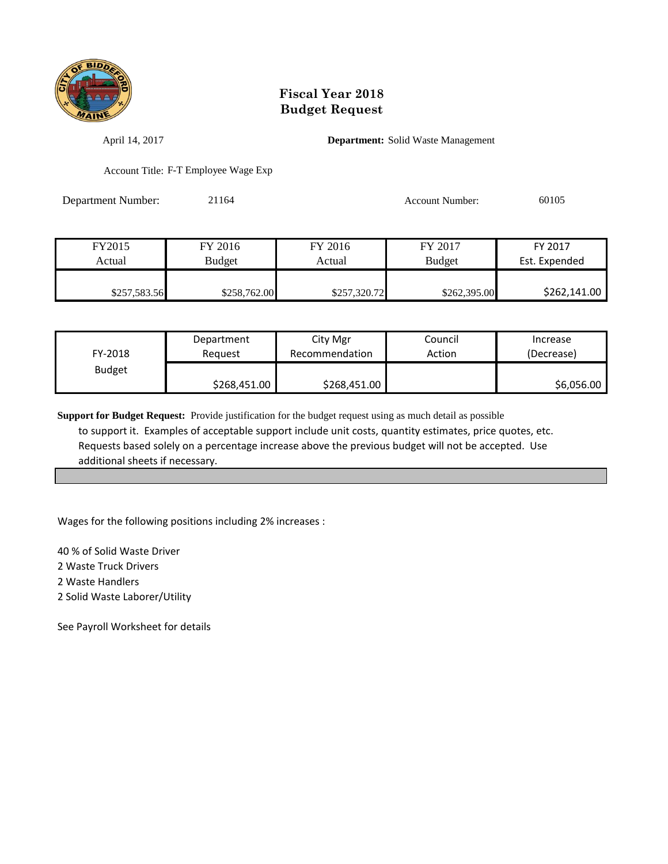

April 14, 2017 **Department:** Solid Waste Management

Account Title: F-T Employee Wage Exp

Department Number: 21164 Account Number: 60105

| FY2015       | FY 2016       | FY 2016      | FY 2017       | FY 2017       |
|--------------|---------------|--------------|---------------|---------------|
| Actual       | <b>Budget</b> | Actual       | <b>Budget</b> | Est. Expended |
|              |               |              |               |               |
| \$257,583.56 | \$258,762.00  | \$257,320.72 | \$262,395.00  | \$262,141.00  |

| FY-2018       | Department   | City Mgr       | Council | Increase   |
|---------------|--------------|----------------|---------|------------|
|               | Reauest      | Recommendation | Action  | (Decrease) |
| <b>Budget</b> | \$268,451.00 |                |         | \$6,056.00 |

**Support for Budget Request:** Provide justification for the budget request using as much detail as possible to support it. Examples of acceptable support include unit costs, quantity estimates, price quotes, etc. Requests based solely on a percentage increase above the previous budget will not be accepted. Use additional sheets if necessary.

Wages for the following positions including 2% increases :

40 % of Solid Waste Driver

2 Waste Truck Drivers

2 Waste Handlers

2 Solid Waste Laborer/Utility

See Payroll Worksheet for details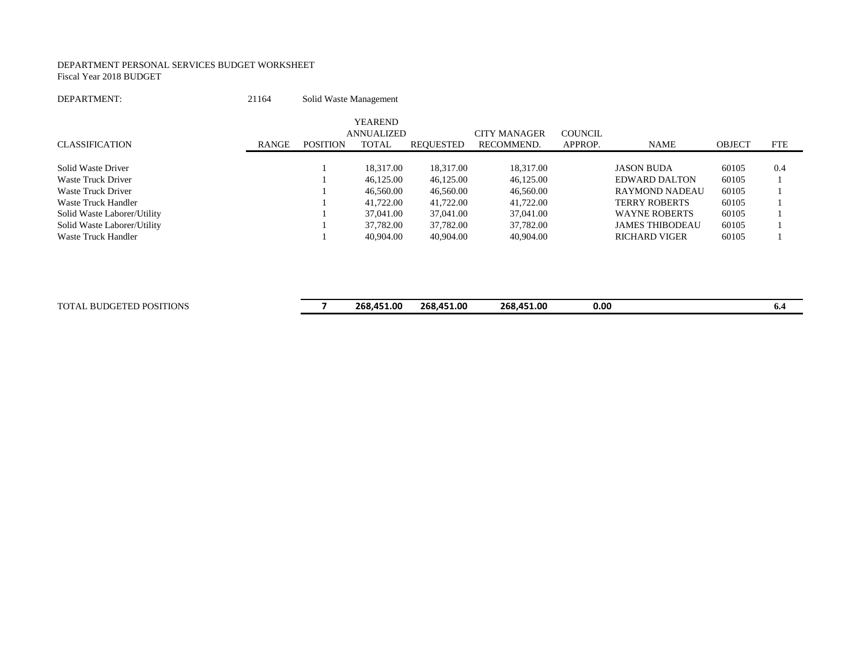#### DEPARTMENT PERSONAL SERVICES BUDGET WORKSHEET Fiscal Year 2018 BUDGET

| DEPARTMENT:                 | 21164        | Solid Waste Management |                                                     |                  |                                   |                    |                        |               |            |
|-----------------------------|--------------|------------------------|-----------------------------------------------------|------------------|-----------------------------------|--------------------|------------------------|---------------|------------|
| <b>CLASSIFICATION</b>       | <b>RANGE</b> | <b>POSITION</b>        | <b>YEAREND</b><br><b>ANNUALIZED</b><br><b>TOTAL</b> | <b>REQUESTED</b> | <b>CITY MANAGER</b><br>RECOMMEND. | COUNCIL<br>APPROP. | <b>NAME</b>            | <b>OBJECT</b> | <b>FTE</b> |
|                             |              |                        |                                                     |                  |                                   |                    |                        |               |            |
| Solid Waste Driver          |              |                        | 18.317.00                                           | 18.317.00        | 18,317.00                         |                    | <b>JASON BUDA</b>      | 60105         | 0.4        |
| Waste Truck Driver          |              |                        | 46,125,00                                           | 46,125.00        | 46,125.00                         |                    | <b>EDWARD DALTON</b>   | 60105         |            |
| Waste Truck Driver          |              |                        | 46,560.00                                           | 46,560.00        | 46,560.00                         |                    | <b>RAYMOND NADEAU</b>  | 60105         |            |
| Waste Truck Handler         |              |                        | 41,722.00                                           | 41,722.00        | 41,722.00                         |                    | <b>TERRY ROBERTS</b>   | 60105         |            |
| Solid Waste Laborer/Utility |              |                        | 37,041.00                                           | 37,041.00        | 37,041.00                         |                    | <b>WAYNE ROBERTS</b>   | 60105         |            |
| Solid Waste Laborer/Utility |              |                        | 37,782.00                                           | 37,782.00        | 37,782.00                         |                    | <b>JAMES THIBODEAU</b> | 60105         |            |
| Waste Truck Handler         |              |                        | 40,904.00                                           | 40,904.00        | 40,904.00                         |                    | <b>RICHARD VIGER</b>   | 60105         |            |
|                             |              |                        |                                                     |                  |                                   |                    |                        |               |            |
|                             |              |                        |                                                     |                  |                                   |                    |                        |               |            |

| TOTA.<br><b>POSITIONS</b><br>– <del>–––––</del><br><b>DIIF</b><br>в.<br>,,,,<br>. | 268.451.00 | 268.<br>.451.00 | 268.451.00 | 0.00 | 0.4 |
|-----------------------------------------------------------------------------------|------------|-----------------|------------|------|-----|
|                                                                                   |            |                 |            |      |     |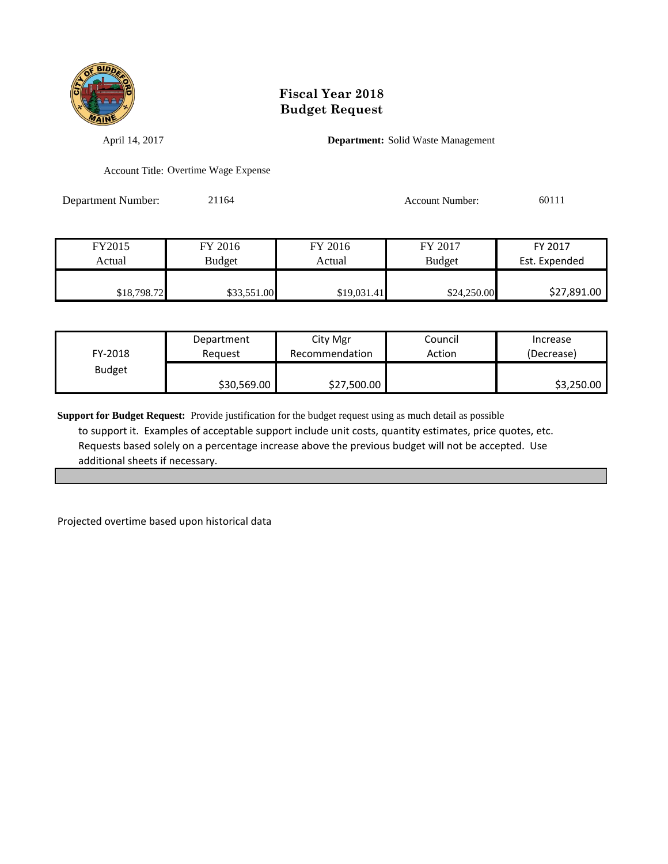

April 14, 2017 **Department:** Solid Waste Management

Account Title: Overtime Wage Expense

Department Number: 21164 Account Number: 60111

| FY2015      | FY 2016       | FY 2016     | FY 2017       | FY 2017       |
|-------------|---------------|-------------|---------------|---------------|
| Actual      | <b>Budget</b> | Actual      | <b>Budget</b> | Est. Expended |
|             |               |             |               |               |
| \$18,798.72 | \$33,551.00   | \$19,031.41 | \$24,250.00   | \$27,891.00   |

| FY-2018       | Department  | City Mgr       | Council | Increase   |
|---------------|-------------|----------------|---------|------------|
|               | Reguest     | Recommendation | Action  | (Decrease) |
| <b>Budget</b> | \$30,569.00 | \$27,500.00    |         | \$3,250.00 |

**Support for Budget Request:** Provide justification for the budget request using as much detail as possible to support it. Examples of acceptable support include unit costs, quantity estimates, price quotes, etc. Requests based solely on a percentage increase above the previous budget will not be accepted. Use additional sheets if necessary.

Projected overtime based upon historical data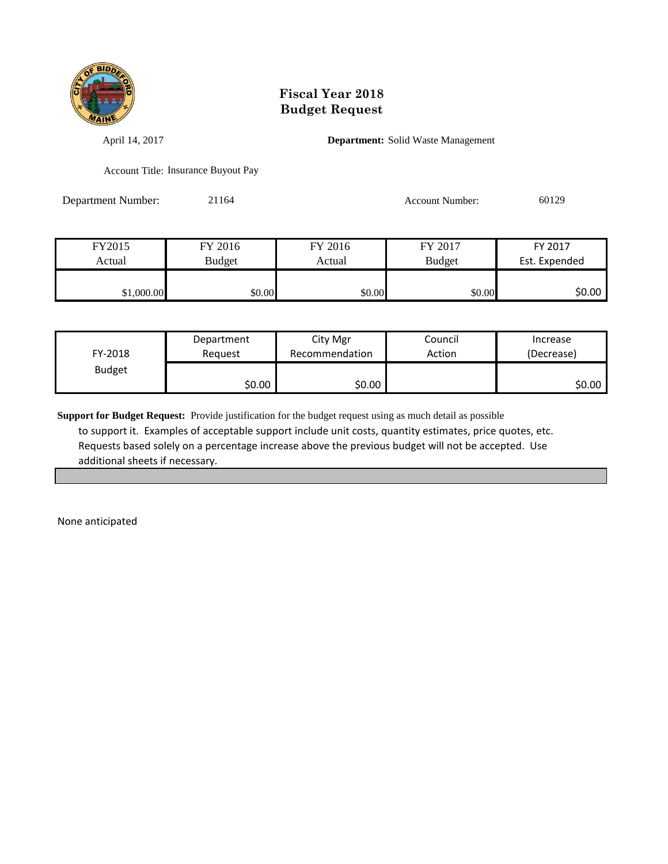

April 14, 2017 **Department:** Solid Waste Management

Account Title: Insurance Buyout Pay

Department Number: 21164 Account Number: 60129

| FY2015     | FY 2016       | FY 2016 | FY 2017       | FY 2017       |
|------------|---------------|---------|---------------|---------------|
| Actual     | <b>Budget</b> | Actual  | <b>Budget</b> | Est. Expended |
|            |               |         |               |               |
| \$1,000.00 | \$0.00        | \$0.00  | \$0.00        | \$0.00        |

| FY-2018       | Department | City Mgr       | Council | Increase   |
|---------------|------------|----------------|---------|------------|
|               | Reauest    | Recommendation | Action  | (Decrease) |
| <b>Budget</b> | ا 50.00    | \$0.00         |         | \$0.00∣    |

**Support for Budget Request:** Provide justification for the budget request using as much detail as possible to support it. Examples of acceptable support include unit costs, quantity estimates, price quotes, etc. Requests based solely on a percentage increase above the previous budget will not be accepted. Use additional sheets if necessary.

None anticipated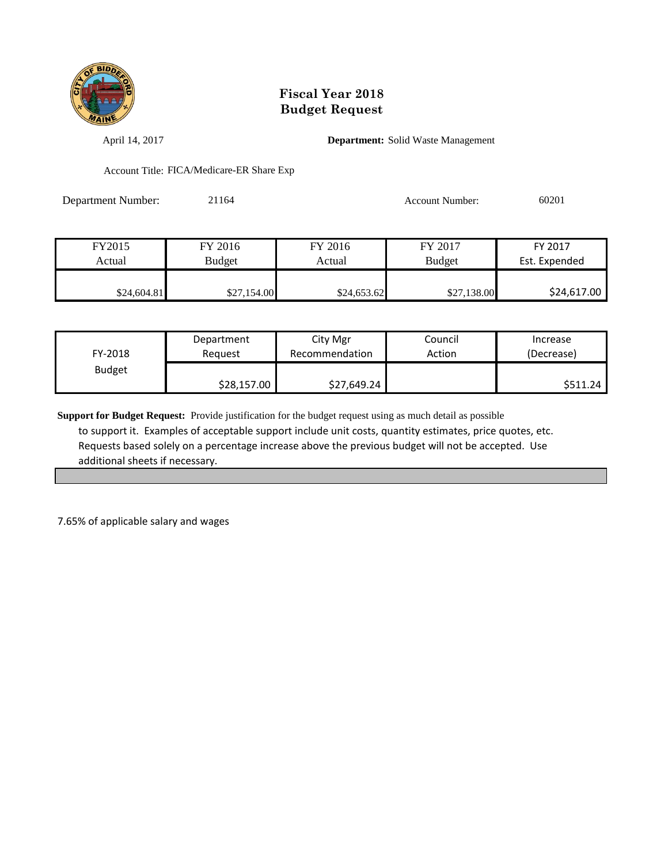

April 14, 2017 **Department:** Solid Waste Management

Account Title: FICA/Medicare-ER Share Exp

| Department Number: | 21164 | <b>Account Number:</b> | 60201 |
|--------------------|-------|------------------------|-------|
|                    |       |                        |       |

| FY2015      | FY 2016     | FY 2016     | FY 2017       | FY 2017       |
|-------------|-------------|-------------|---------------|---------------|
| Actual      | Budget      | Actual      | <b>Budget</b> | Est. Expended |
|             |             |             |               |               |
| \$24,604.81 | \$27,154.00 | \$24,653.62 | \$27,138.00   | \$24,617.00   |

| FY-2018       | Department  | City Mgr       | Council | Increase   |
|---------------|-------------|----------------|---------|------------|
|               | Reauest     | Recommendation | Action  | (Decrease) |
| <b>Budget</b> | \$28,157.00 | \$27,649.24    |         | \$511.24   |

**Support for Budget Request:** Provide justification for the budget request using as much detail as possible to support it. Examples of acceptable support include unit costs, quantity estimates, price quotes, etc. Requests based solely on a percentage increase above the previous budget will not be accepted. Use additional sheets if necessary.

7.65% of applicable salary and wages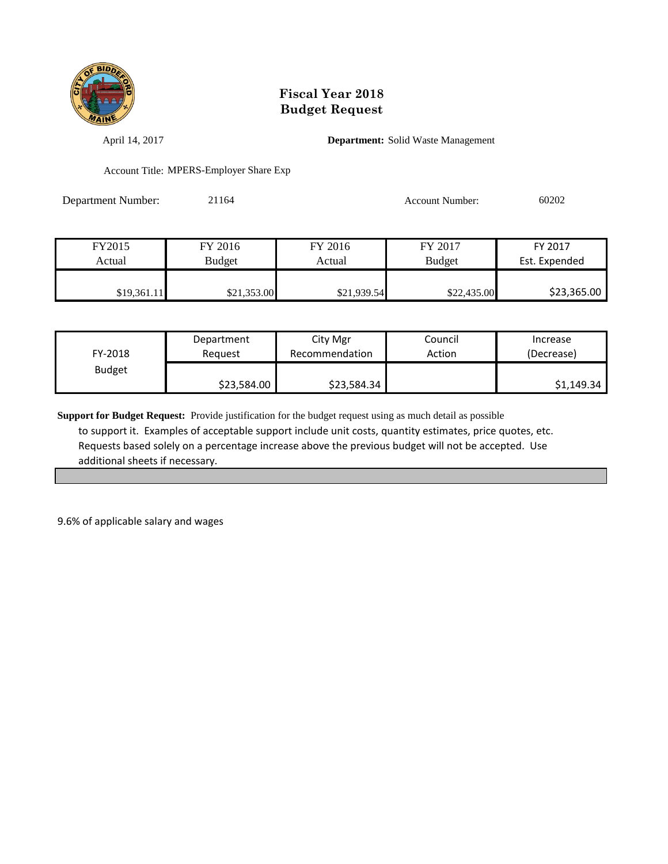

April 14, 2017 **Department:** Solid Waste Management

Account Title: MPERS-Employer Share Exp

| <b>Department Number:</b> | 21164 | Account Number: | 60202 |
|---------------------------|-------|-----------------|-------|
|                           |       |                 |       |

| FY2015      | FY 2016     | FY 2016     | FY 2017       | FY 2017       |
|-------------|-------------|-------------|---------------|---------------|
| Actual      | Budget      | Actual      | <b>Budget</b> | Est. Expended |
|             |             |             |               |               |
| \$19,361.11 | \$21,353.00 | \$21,939.54 | \$22,435.00   | \$23,365.00   |

| FY-2018       | Department  | City Mgr       | Council | Increase   |
|---------------|-------------|----------------|---------|------------|
|               | Reguest     | Recommendation | Action  | (Decrease) |
| <b>Budget</b> | \$23,584.00 | \$23,584.34    |         | \$1,149.34 |

**Support for Budget Request:** Provide justification for the budget request using as much detail as possible to support it. Examples of acceptable support include unit costs, quantity estimates, price quotes, etc. Requests based solely on a percentage increase above the previous budget will not be accepted. Use additional sheets if necessary.

9.6% of applicable salary and wages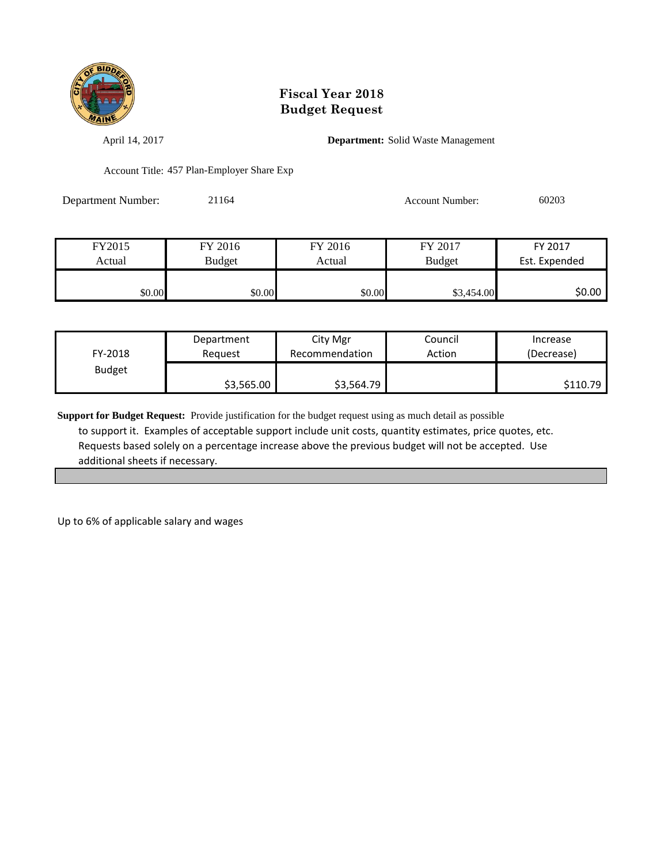

April 14, 2017 **Department:** Solid Waste Management

Account Title: 457 Plan-Employer Share Exp

| <b>Department Number:</b> | 21164 | Account Number: | 60203 |
|---------------------------|-------|-----------------|-------|
|                           |       |                 |       |

| FY2015 | FY 2016       | FY 2016 | FY 2017       | FY 2017       |
|--------|---------------|---------|---------------|---------------|
| Actual | <b>Budget</b> | Actual  | <b>Budget</b> | Est. Expended |
|        |               |         |               |               |
| \$0.00 | \$0.00        | \$0.00  | \$3,454.00    | \$0.00        |

| FY-2018       | Department | City Mgr       | Council | Increase   |
|---------------|------------|----------------|---------|------------|
|               | Reauest    | Recommendation | Action  | (Decrease) |
| <b>Budget</b> | \$3,565.00 | \$3,564.79     |         | \$110.79   |

**Support for Budget Request:** Provide justification for the budget request using as much detail as possible to support it. Examples of acceptable support include unit costs, quantity estimates, price quotes, etc. Requests based solely on a percentage increase above the previous budget will not be accepted. Use additional sheets if necessary.

Up to 6% of applicable salary and wages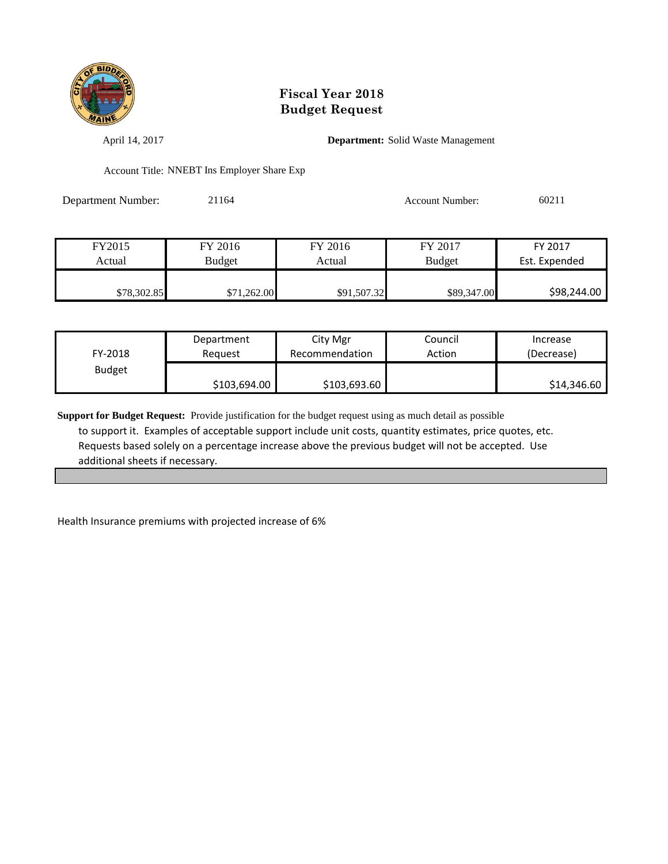

April 14, 2017 **Department:** Solid Waste Management

Account Title: NNEBT Ins Employer Share Exp

| Department Number: | 21164 | <b>Account Number:</b> | 60211 |
|--------------------|-------|------------------------|-------|
|                    |       |                        |       |

| FY2015      | FY 2016     | FY 2016     | FY 2017       | FY 2017       |
|-------------|-------------|-------------|---------------|---------------|
| Actual      | Budget      | Actual      | <b>Budget</b> | Est. Expended |
|             |             |             |               |               |
| \$78,302.85 | \$71,262.00 | \$91,507.32 | \$89,347.00   | \$98,244.00   |

| FY-2018       | Department   | City Mgr       | Council | Increase    |
|---------------|--------------|----------------|---------|-------------|
|               | Reauest      | Recommendation | Action  | (Decrease)  |
| <b>Budget</b> | \$103,694.00 | \$103,693.60   |         | \$14,346.60 |

**Support for Budget Request:** Provide justification for the budget request using as much detail as possible to support it. Examples of acceptable support include unit costs, quantity estimates, price quotes, etc. Requests based solely on a percentage increase above the previous budget will not be accepted. Use additional sheets if necessary.

Health Insurance premiums with projected increase of 6%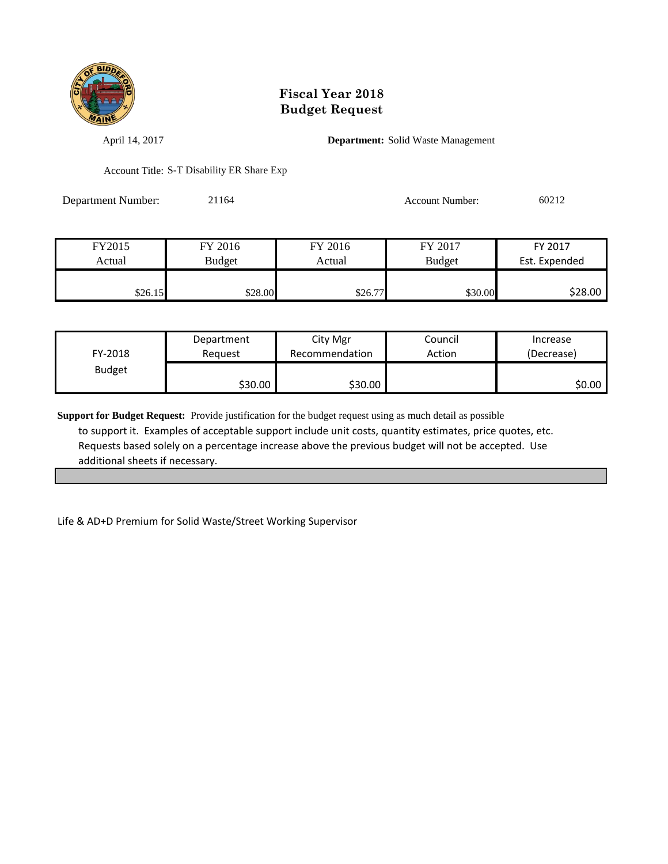

April 14, 2017 **Department:** Solid Waste Management

Account Title: S-T Disability ER Share Exp

Department Number: 21164 Account Number: 60212

| FY2015  | FY 2016 | FY 2016 | FY 2017       | FY 2017       |
|---------|---------|---------|---------------|---------------|
| Actual  | Budget  | Actual  | <b>Budget</b> | Est. Expended |
|         |         |         |               |               |
| \$26.15 | \$28.00 | \$26.77 | \$30.00       | \$28.00       |

| FY-2018       | Department | City Mgr       | Council | Increase   |
|---------------|------------|----------------|---------|------------|
|               | Reguest    | Recommendation | Action  | (Decrease) |
| <b>Budget</b> | \$30.00∣   | \$30.00        |         | SO.OO I    |

**Support for Budget Request:** Provide justification for the budget request using as much detail as possible to support it. Examples of acceptable support include unit costs, quantity estimates, price quotes, etc. Requests based solely on a percentage increase above the previous budget will not be accepted. Use additional sheets if necessary.

Life & AD+D Premium for Solid Waste/Street Working Supervisor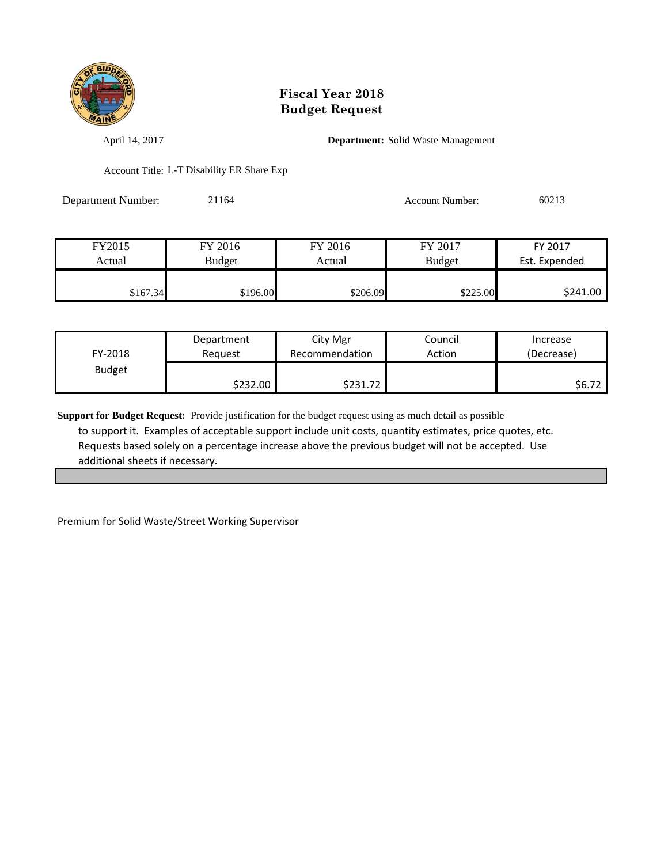

April 14, 2017 **Department:** Solid Waste Management

Account Title: L-T Disability ER Share Exp

Department Number: 21164 Account Number: 60213

| FY2015   | FY 2016       | FY 2016  | FY 2017       | FY 2017       |
|----------|---------------|----------|---------------|---------------|
| Actual   | <b>Budget</b> | Actual   | <b>Budget</b> | Est. Expended |
|          |               |          |               |               |
| \$167.34 | \$196.00      | \$206.09 | \$225.00      | \$241.00      |

| FY-2018       | Department | City Mgr       | Council | Increase   |
|---------------|------------|----------------|---------|------------|
|               | Reguest    | Recommendation | Action  | (Decrease) |
| <b>Budget</b> | \$232.00   | \$231.72       |         | S6.72      |

**Support for Budget Request:** Provide justification for the budget request using as much detail as possible to support it. Examples of acceptable support include unit costs, quantity estimates, price quotes, etc. Requests based solely on a percentage increase above the previous budget will not be accepted. Use additional sheets if necessary.

Premium for Solid Waste/Street Working Supervisor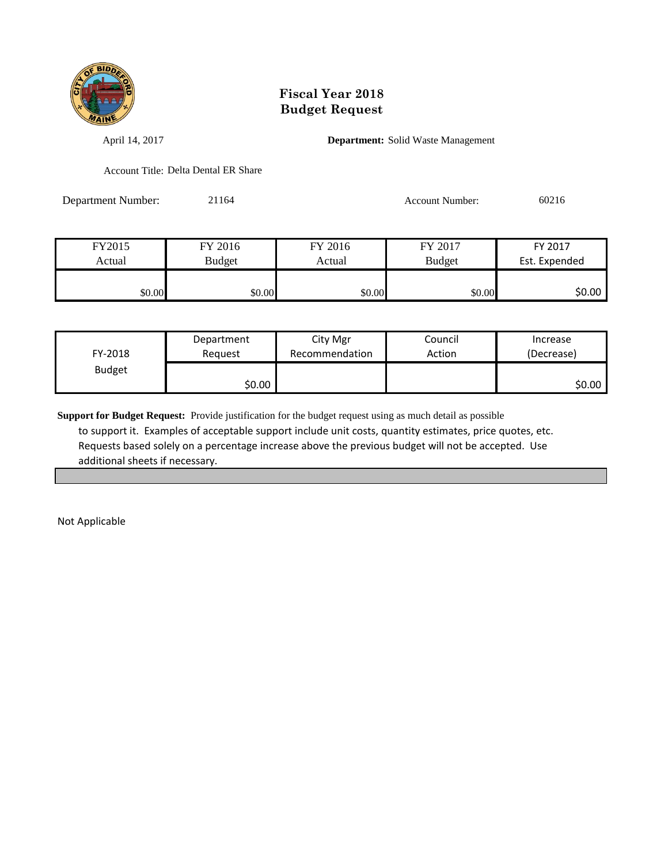

April 14, 2017 **Department:** Solid Waste Management

Account Title: Delta Dental ER Share

Department Number: 21164 Account Number: 60216

| FY2015 | FY 2016       | FY 2016 | FY 2017       | FY 2017       |
|--------|---------------|---------|---------------|---------------|
| Actual | <b>Budget</b> | Actual  | <b>Budget</b> | Est. Expended |
|        |               |         |               |               |
| \$0.00 | \$0.00        | \$0.00  | \$0.00        | \$0.00        |

| FY-2018       | Department | City Mgr       | Council | Increase   |
|---------------|------------|----------------|---------|------------|
|               | Reauest    | Recommendation | Action  | (Decrease) |
| <b>Budget</b> | \$0.00     |                |         | \$0.00     |

**Support for Budget Request:** Provide justification for the budget request using as much detail as possible to support it. Examples of acceptable support include unit costs, quantity estimates, price quotes, etc. Requests based solely on a percentage increase above the previous budget will not be accepted. Use additional sheets if necessary.

Not Applicable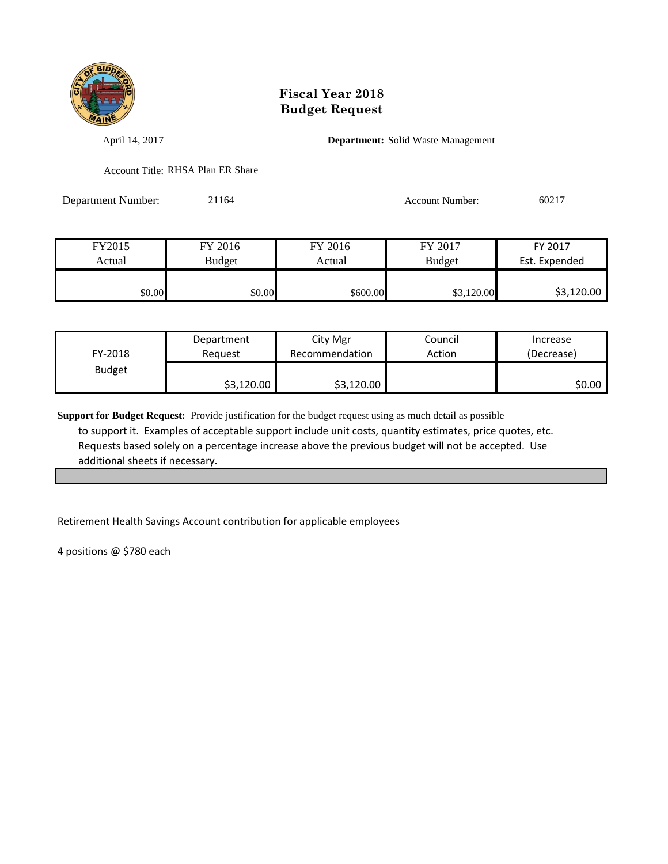

April 14, 2017 **Department:** Solid Waste Management

Account Title: RHSA Plan ER Share

Department Number: 21164 Account Number: 60217

| FY2015 | FY 2016       | FY 2016  | FY 2017       | FY 2017       |
|--------|---------------|----------|---------------|---------------|
| Actual | <b>Budget</b> | Actual   | <b>Budget</b> | Est. Expended |
|        |               |          |               |               |
| \$0.00 | \$0.00        | \$600.00 | ,120.00       | \$3,120.00    |

| FY-2018       | Department | City Mgr       | Council | Increase   |
|---------------|------------|----------------|---------|------------|
|               | Reguest    | Recommendation | Action  | (Decrease) |
| <b>Budget</b> | \$3,120.00 | \$3,120.00     |         | \$0.00     |

**Support for Budget Request:** Provide justification for the budget request using as much detail as possible to support it. Examples of acceptable support include unit costs, quantity estimates, price quotes, etc. Requests based solely on a percentage increase above the previous budget will not be accepted. Use additional sheets if necessary.

Retirement Health Savings Account contribution for applicable employees

4 positions @ \$780 each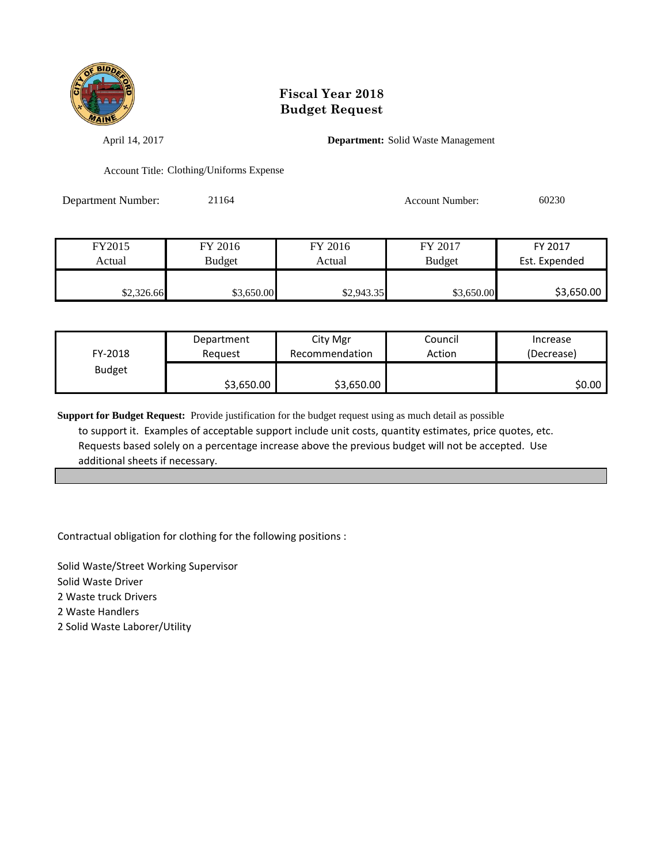

April 14, 2017 **Department:** Solid Waste Management

Account Title: Clothing/Uniforms Expense

Department Number: 21164 Account Number: 60230

| FY2015     | FY 2016       | FY 2016    | FY 2017       | FY 2017       |
|------------|---------------|------------|---------------|---------------|
| Actual     | <b>Budget</b> | Actual     | <b>Budget</b> | Est. Expended |
|            |               |            |               |               |
| \$2,326.66 | \$3,650.00    | \$2,943.35 | \$3,650.00    | \$3,650.00    |

| FY-2018       | Department | City Mgr       | Council | Increase   |
|---------------|------------|----------------|---------|------------|
|               | Reauest    | Recommendation | Action  | (Decrease) |
| <b>Budget</b> | \$3,650.00 | \$3,650.00     |         | \$0.00     |

**Support for Budget Request:** Provide justification for the budget request using as much detail as possible to support it. Examples of acceptable support include unit costs, quantity estimates, price quotes, etc. Requests based solely on a percentage increase above the previous budget will not be accepted. Use additional sheets if necessary.

Contractual obligation for clothing for the following positions :

Solid Waste/Street Working Supervisor Solid Waste Driver 2 Waste truck Drivers 2 Waste Handlers 2 Solid Waste Laborer/Utility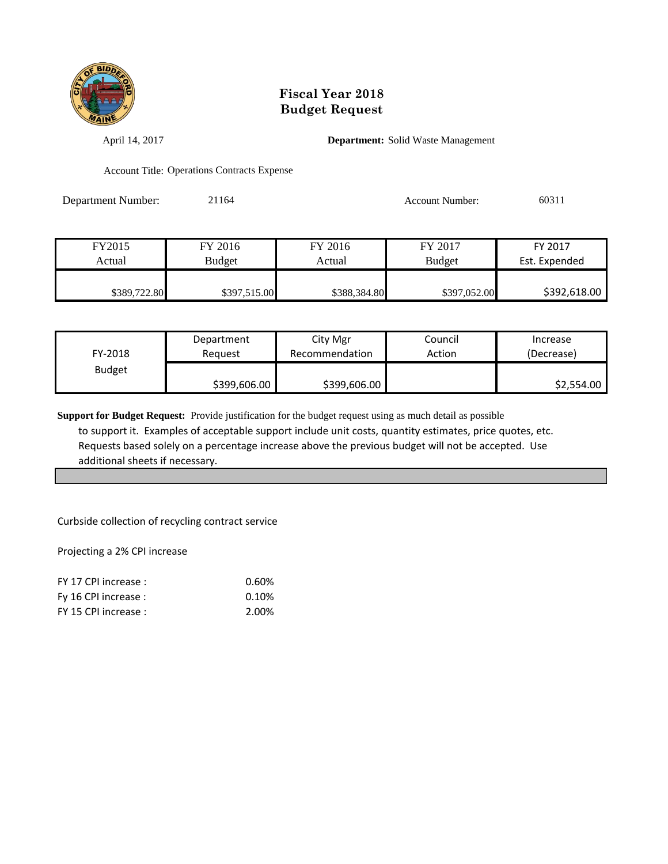

April 14, 2017 **Department:** Solid Waste Management

Account Title: Operations Contracts Expense

Department Number: 21164 Account Number: 60311

| FY2015       | FY 2016      | FY 2016      | FY 2017       | FY 2017       |
|--------------|--------------|--------------|---------------|---------------|
| Actual       | Budget       | Actual       | <b>Budget</b> | Est. Expended |
|              |              |              |               |               |
| \$389,722.80 | \$397,515.00 | \$388,384.80 | \$397,052.00  | \$392,618.00  |

| FY-2018       | Department   | City Mgr       | Council | Increase   |
|---------------|--------------|----------------|---------|------------|
|               | Reauest      | Recommendation | Action  | (Decrease) |
| <b>Budget</b> | \$399,606.00 | \$399,606.00   |         | \$2,554.00 |

**Support for Budget Request:** Provide justification for the budget request using as much detail as possible to support it. Examples of acceptable support include unit costs, quantity estimates, price quotes, etc. Requests based solely on a percentage increase above the previous budget will not be accepted. Use additional sheets if necessary.

Curbside collection of recycling contract service

Projecting a 2% CPI increase

| FY 17 CPI increase : | 0.60% |
|----------------------|-------|
| Fy 16 CPI increase : | 0.10% |
| FY 15 CPI increase : | 2.00% |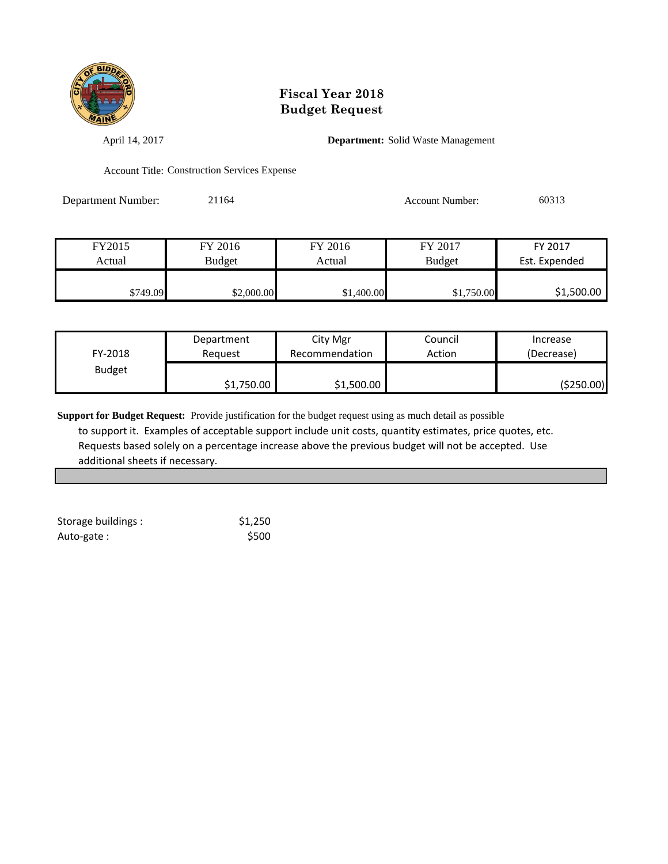

April 14, 2017 **Department:** Solid Waste Management

Account Title: Construction Services Expense

Department Number: 21164 Account Number: 60313

| FY2015   | FY 2016       | FY 2016    | FY 2017       | FY 2017       |
|----------|---------------|------------|---------------|---------------|
| Actual   | <b>Budget</b> | Actual     | <b>Budget</b> | Est. Expended |
|          |               |            |               |               |
| \$749.09 | \$2,000.00    | \$1,400.00 | \$1,750.00    | \$1,500.00    |

| FY-2018       | Department | City Mgr       | Council | Increase   |
|---------------|------------|----------------|---------|------------|
|               | Reauest    | Recommendation | Action  | (Decrease) |
| <b>Budget</b> | \$1,750.00 | \$1,500.00     |         | (\$250.00) |

| Storage buildings : | \$1,250 |
|---------------------|---------|
| Auto-gate:          | \$500   |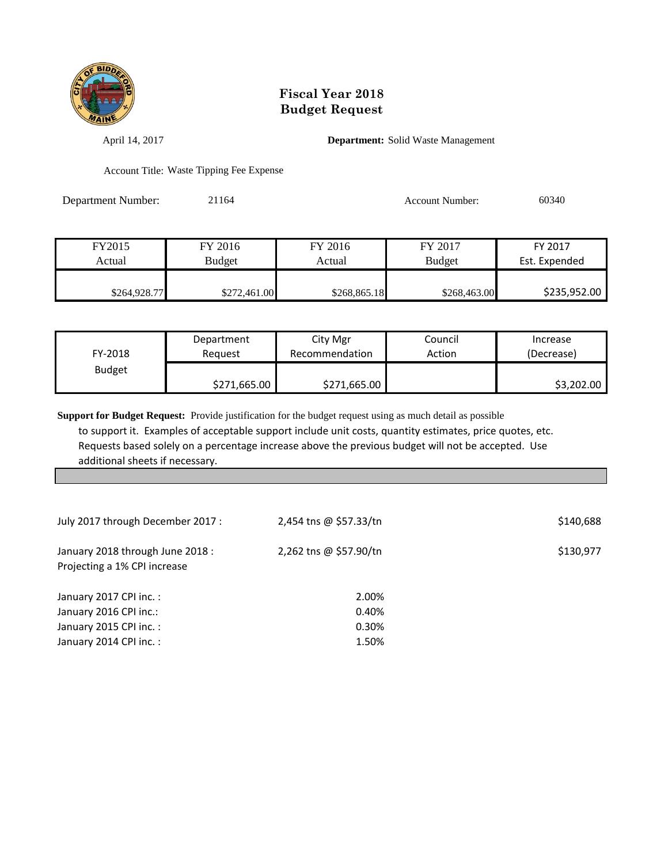

April 14, 2017 **Department:** Solid Waste Management

Account Title: Waste Tipping Fee Expense

Department Number: 21164 Account Number: 60340

| FY2015       | FY 2016       | FY 2016      | FY 2017       | FY 2017       |
|--------------|---------------|--------------|---------------|---------------|
| Actual       | <b>Budget</b> | Actual       | <b>Budget</b> | Est. Expended |
|              |               |              |               |               |
| \$264,928.77 | \$272,461.00  | \$268,865.18 | \$268,463.00  | \$235,952.00  |

| FY-2018       | Department   | City Mgr       | Council | Increase   |
|---------------|--------------|----------------|---------|------------|
|               | Reauest      | Recommendation | Action  | (Decrease) |
| <b>Budget</b> | \$271,665.00 | \$271,665.00   |         | \$3,202.00 |

| July 2017 through December 2017 :                                | 2,454 tns @ \$57.33/tn | \$140,688 |
|------------------------------------------------------------------|------------------------|-----------|
| January 2018 through June 2018 :<br>Projecting a 1% CPI increase | 2,262 tns @ \$57.90/tn | \$130,977 |
| January 2017 CPI inc.:                                           | 2.00%                  |           |
| January 2016 CPI inc.:                                           | 0.40%                  |           |
| January 2015 CPI inc.:                                           | 0.30%                  |           |
| January 2014 CPI inc.:                                           | 1.50%                  |           |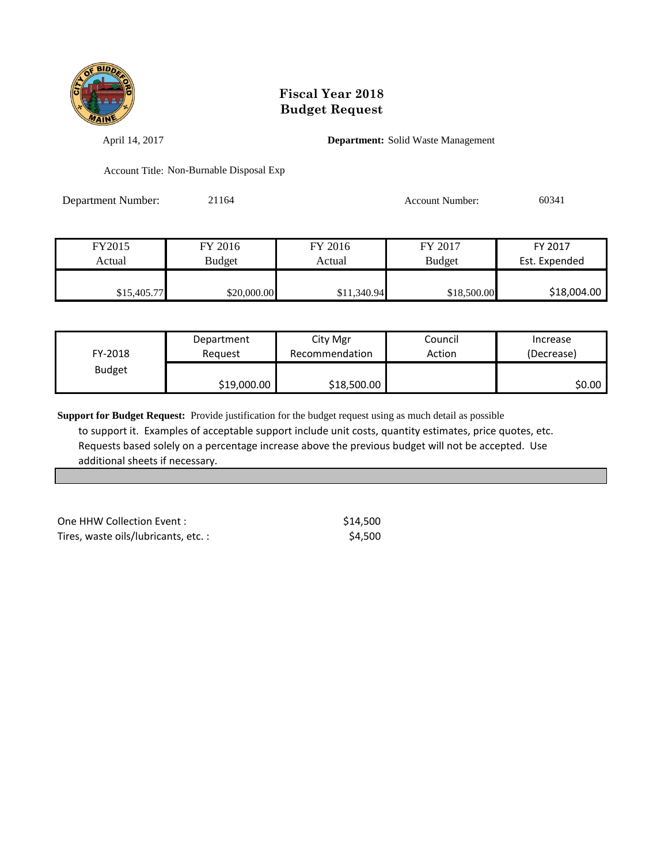

April 14, 2017 **Department:** Solid Waste Management

Account Title: Non-Burnable Disposal Exp

Department Number: 21164 Account Number: 60341

| FY2015      | FY 2016     | FY 2016     | FY 2017       | FY 2017       |
|-------------|-------------|-------------|---------------|---------------|
| Actual      | Budget      | Actual      | <b>Budget</b> | Est. Expended |
|             |             |             |               |               |
| \$15,405.77 | \$20,000.00 | \$11,340.94 | \$18,500.00   | \$18,004.00   |

| FY-2018       | Department  | City Mgr       | Council | Increase   |
|---------------|-------------|----------------|---------|------------|
|               | Reauest     | Recommendation | Action  | (Decrease) |
| <b>Budget</b> | \$19,000.00 | \$18,500.00    |         | \$0.00     |

| One HHW Collection Event:           | \$14,500 |
|-------------------------------------|----------|
| Tires, waste oils/lubricants, etc.: | \$4.500  |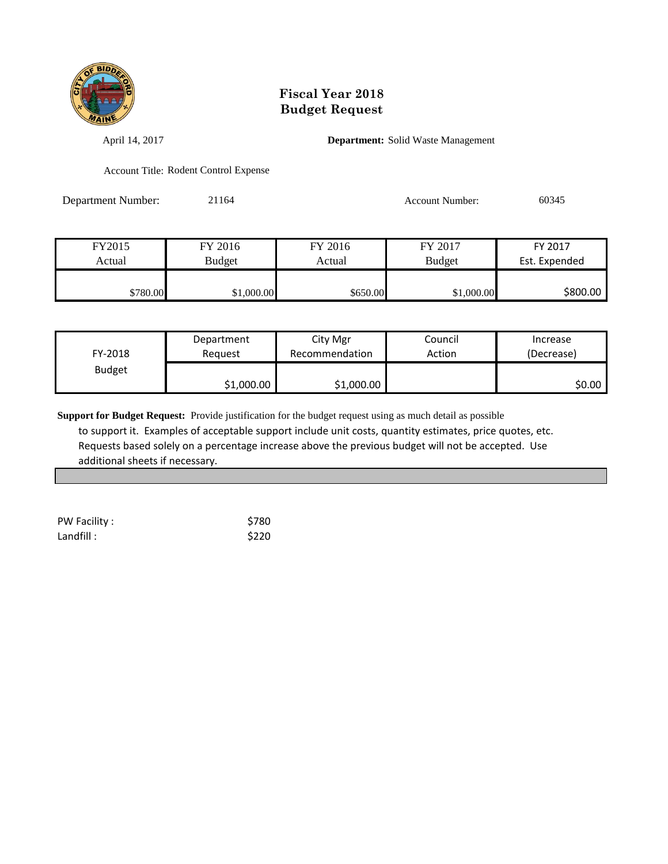

April 14, 2017 **Department:** Solid Waste Management

Account Title: Rodent Control Expense

Department Number: 21164 21164 Account Number: 60345

| FY2015   | FY 2016       | FY 2016  | FY 2017       | FY 2017       |
|----------|---------------|----------|---------------|---------------|
| Actual   | <b>Budget</b> | Actual   | <b>Budget</b> | Est. Expended |
|          |               |          |               |               |
| \$780.00 | \$1,000.00    | \$650.00 | \$1,000.00    | \$800.00      |

| FY-2018       | Department | City Mgr       | Council | Increase   |
|---------------|------------|----------------|---------|------------|
|               | Reauest    | Recommendation | Action  | (Decrease) |
| <b>Budget</b> | \$1,000.00 | \$1,000.00     |         | \$0.00     |

| PW Facility : | \$780 |
|---------------|-------|
| Landfill :    | \$220 |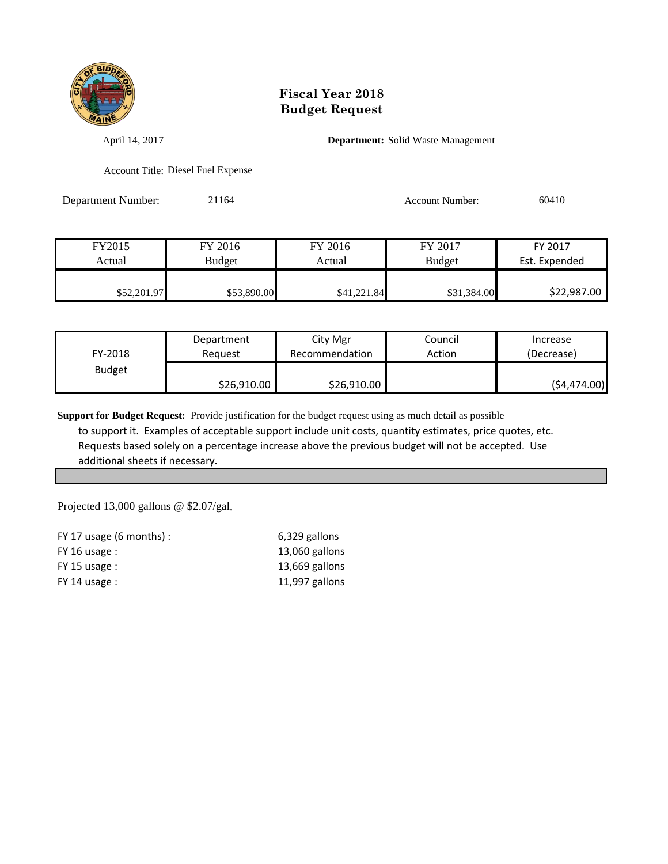

April 14, 2017 **Department:** Solid Waste Management

Account Title: Diesel Fuel Expense

Department Number: 21164 21164 Account Number: 60410

| FY2015      | FY 2016       | FY 2016     | FY 2017       | FY 2017       |
|-------------|---------------|-------------|---------------|---------------|
| Actual      | <b>Budget</b> | Actual      | <b>Budget</b> | Est. Expended |
| \$52,201.97 | \$53,890.00   | \$41,221.84 | \$31,384.00   | \$22,987.00   |

| FY-2018       | Department  | City Mgr       | Council | Increase     |
|---------------|-------------|----------------|---------|--------------|
|               | Reauest     | Recommendation | Action  | (Decrease)   |
| <b>Budget</b> | \$26,910.00 | \$26,910.00    |         | (54, 474.00) |

**Support for Budget Request:** Provide justification for the budget request using as much detail as possible to support it. Examples of acceptable support include unit costs, quantity estimates, price quotes, etc. Requests based solely on a percentage increase above the previous budget will not be accepted. Use additional sheets if necessary.

Projected 13,000 gallons @ \$2.07/gal,

| FY 17 usage $(6 \text{ months})$ : | 6,329 gallons  |
|------------------------------------|----------------|
| $FY$ 16 usage :                    | 13,060 gallons |
| $FY$ 15 usage :                    | 13,669 gallons |
| $FY$ 14 usage :                    | 11,997 gallons |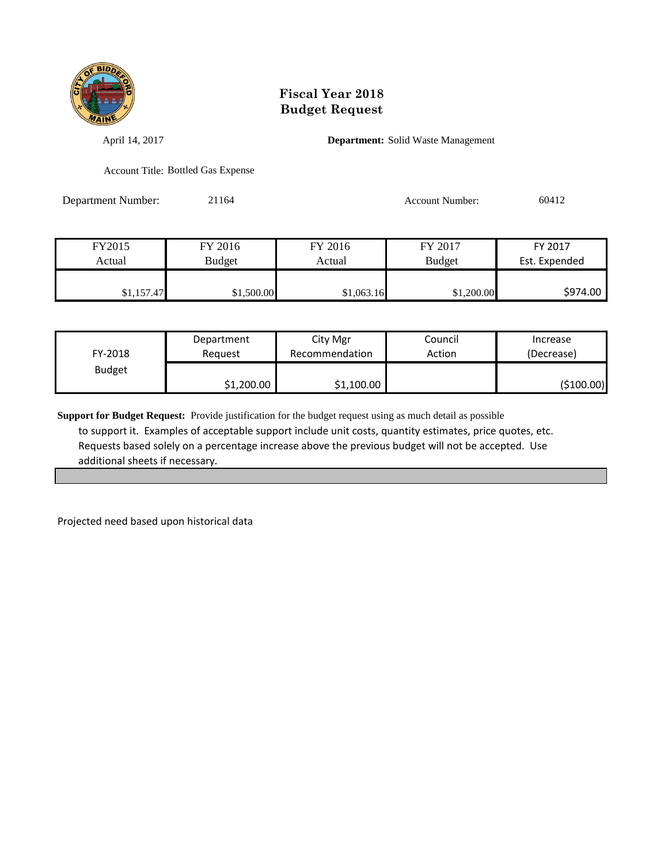

April 14, 2017 **Department:** Solid Waste Management

Account Title: Bottled Gas Expense

Department Number: 21164 Account Number: 60412

| FY2015     | FY 2016    | FY 2016    | FY 2017       | FY 2017       |
|------------|------------|------------|---------------|---------------|
| Actual     | Budget     | Actual     | <b>Budget</b> | Est. Expended |
|            |            |            |               |               |
| \$1,157.47 | \$1,500.00 | \$1,063.16 | \$1,200.00    | \$974.00      |

| FY-2018       | Department | City Mgr       | Council | Increase   |
|---------------|------------|----------------|---------|------------|
|               | Reauest    | Recommendation | Action  | (Decrease) |
| <b>Budget</b> | \$1,200.00 | \$1,100.00     |         | (\$100.00) |

**Support for Budget Request:** Provide justification for the budget request using as much detail as possible to support it. Examples of acceptable support include unit costs, quantity estimates, price quotes, etc. Requests based solely on a percentage increase above the previous budget will not be accepted. Use additional sheets if necessary.

Projected need based upon historical data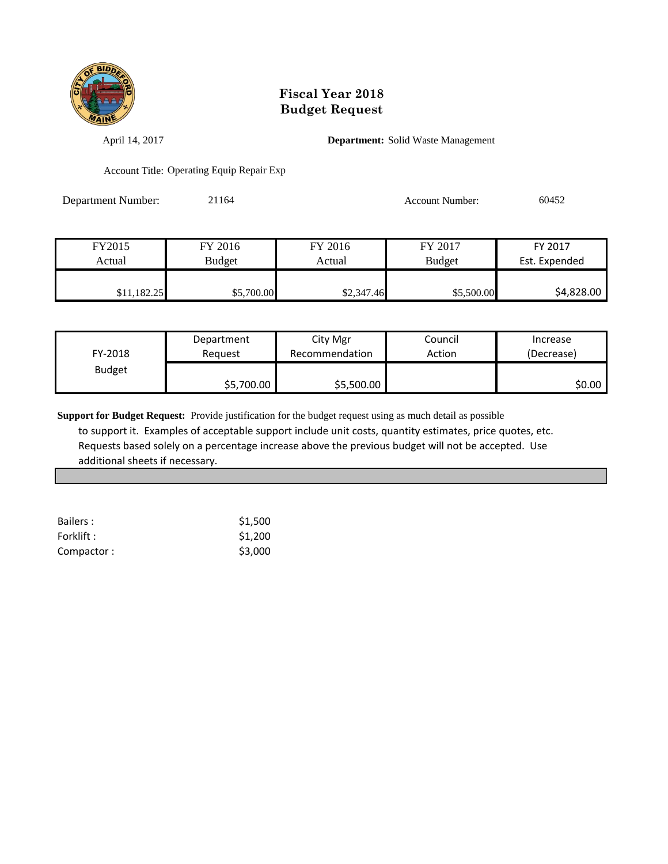

April 14, 2017 **Department:** Solid Waste Management

Account Title: Operating Equip Repair Exp

Department Number: 21164 Account Number: 60452

| FY2015      | FY 2016       | FY 2016    | FY 2017       | FY 2017       |
|-------------|---------------|------------|---------------|---------------|
| Actual      | <b>Budget</b> | Actual     | <b>Budget</b> | Est. Expended |
|             |               |            |               |               |
| \$11,182.25 | \$5,700.00    | \$2,347.46 | \$5,500.00    | \$4,828.00    |

| FY-2018       | Department | City Mgr       | Council | Increase   |
|---------------|------------|----------------|---------|------------|
|               | Reguest    | Recommendation | Action  | (Decrease) |
| <b>Budget</b> | \$5,700.00 | \$5,500.00     |         | SO.OO I    |

| Bailers:   | \$1,500 |
|------------|---------|
| Forklift : | \$1,200 |
| Compactor: | \$3,000 |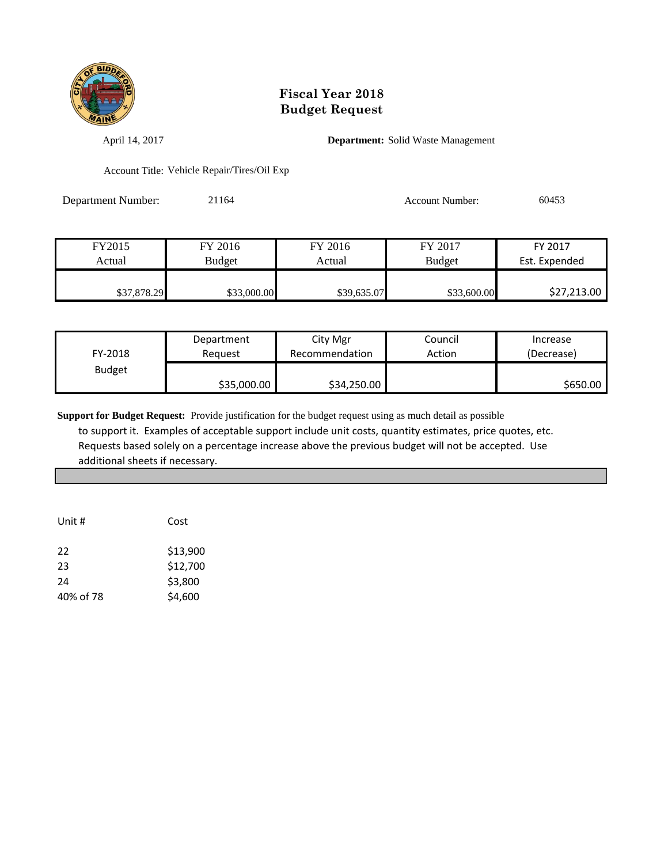

April 14, 2017 **Department:** Solid Waste Management

Account Title: Vehicle Repair/Tires/Oil Exp

| <b>Department Number:</b> | 21164 | <b>Account Number:</b> | 60453 |
|---------------------------|-------|------------------------|-------|
|                           |       |                        |       |

| FY2015      | FY 2016       | FY 2016     | FY 2017       | FY 2017       |
|-------------|---------------|-------------|---------------|---------------|
| Actual      | <b>Budget</b> | Actual      | <b>Budget</b> | Est. Expended |
|             |               |             |               |               |
| \$37,878.29 | \$33,000.00   | \$39,635.07 | \$33,600.00   | \$27,213.00   |

| FY-2018       | Department  | City Mgr       | Council | Increase   |
|---------------|-------------|----------------|---------|------------|
|               | Reauest     | Recommendation | Action  | (Decrease) |
| <b>Budget</b> | \$35,000.00 | \$34,250.00    |         | \$650.00   |

| Unit #    | Cost     |
|-----------|----------|
| 22        | \$13,900 |
| 23        | \$12,700 |
| 24        | \$3,800  |
| 40% of 78 | \$4,600  |
|           |          |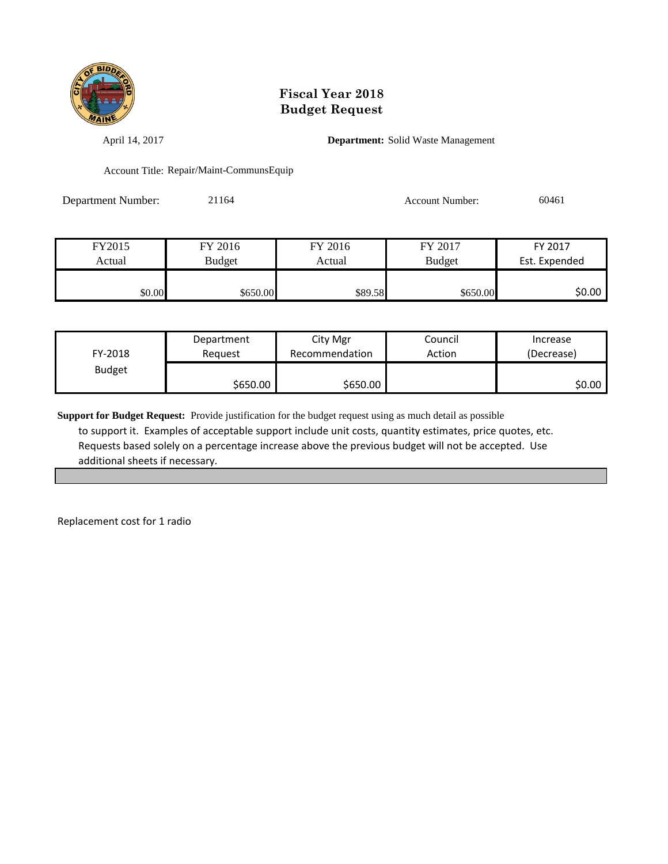

April 14, 2017 **Department:** Solid Waste Management

Account Title: Repair/Maint-CommunsEquip

Department Number: 21164 21164 Account Number: 60461

| FY2015 | FY 2016       | FY 2016 | FY 2017       | FY 2017       |
|--------|---------------|---------|---------------|---------------|
| Actual | <b>Budget</b> | Actual  | <b>Budget</b> | Est. Expended |
|        |               |         |               |               |
| \$0.00 | \$650.00      | \$89.58 | \$650.00      | \$0.00        |

| FY-2018       | Department | City Mgr       | Council | Increase   |
|---------------|------------|----------------|---------|------------|
|               | Reguest    | Recommendation | Action  | (Decrease) |
| <b>Budget</b> | \$650.00   | \$650.00       |         | \$0.00     |

**Support for Budget Request:** Provide justification for the budget request using as much detail as possible to support it. Examples of acceptable support include unit costs, quantity estimates, price quotes, etc. Requests based solely on a percentage increase above the previous budget will not be accepted. Use additional sheets if necessary.

Replacement cost for 1 radio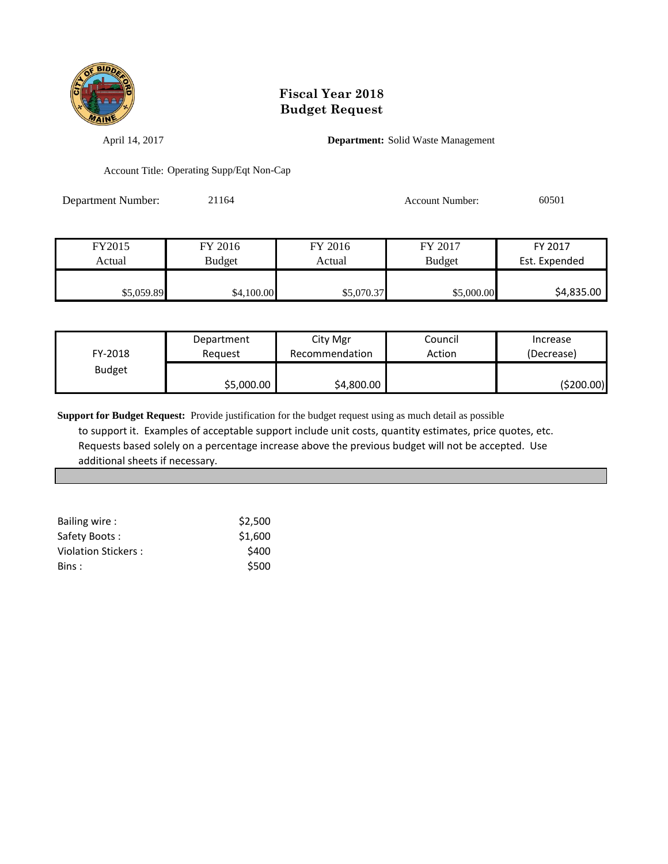

April 14, 2017 **Department:** Solid Waste Management

Account Title: Operating Supp/Eqt Non-Cap

Department Number: 21164 Account Number: 60501

| FY2015     | FY 2016    | FY 2016    | FY 2017       | FY 2017       |
|------------|------------|------------|---------------|---------------|
| Actual     | Budget     | Actual     | <b>Budget</b> | Est. Expended |
|            |            |            |               |               |
| \$5,059.89 | \$4,100.00 | \$5,070.37 | \$5,000.00    | \$4,835.00    |

| FY-2018       | Department | City Mgr       | Council | Increase   |
|---------------|------------|----------------|---------|------------|
|               | Reauest    | Recommendation | Action  | (Decrease) |
| <b>Budget</b> | \$5,000.00 | \$4,800.00     |         | (\$200.00) |

| Bailing wire:       | \$2,500 |
|---------------------|---------|
| Safety Boots:       | \$1,600 |
| Violation Stickers: | \$400   |
| Bins :              | \$500   |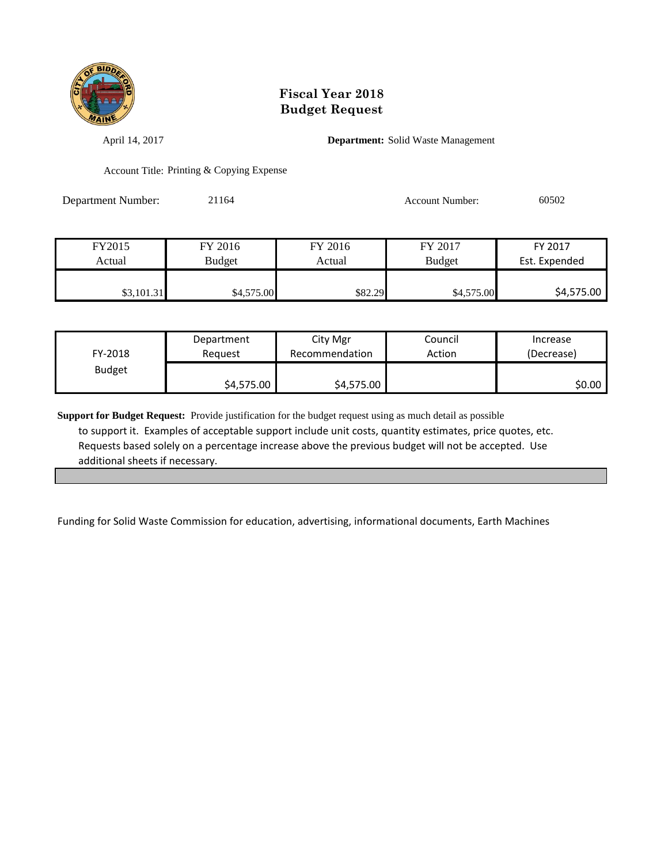

April 14, 2017 **Department:** Solid Waste Management

Account Title: Printing & Copying Expense

Department Number: 21164 Account Number: 60502

| FY2015     | FY 2016       | FY 2016 | FY 2017       | FY 2017       |
|------------|---------------|---------|---------------|---------------|
| Actual     | <b>Budget</b> | Actual  | <b>Budget</b> | Est. Expended |
|            |               |         |               |               |
| \$3,101.31 | \$4,575.00    | \$82.29 | \$4,575.00    | \$4,575.00    |

| FY-2018       | Department | City Mgr       | Council | Increase   |
|---------------|------------|----------------|---------|------------|
|               | Reguest    | Recommendation | Action  | (Decrease) |
| <b>Budget</b> | \$4,575.00 | \$4,575.00     |         | \$0.00     |

**Support for Budget Request:** Provide justification for the budget request using as much detail as possible to support it. Examples of acceptable support include unit costs, quantity estimates, price quotes, etc. Requests based solely on a percentage increase above the previous budget will not be accepted. Use additional sheets if necessary.

Funding for Solid Waste Commission for education, advertising, informational documents, Earth Machines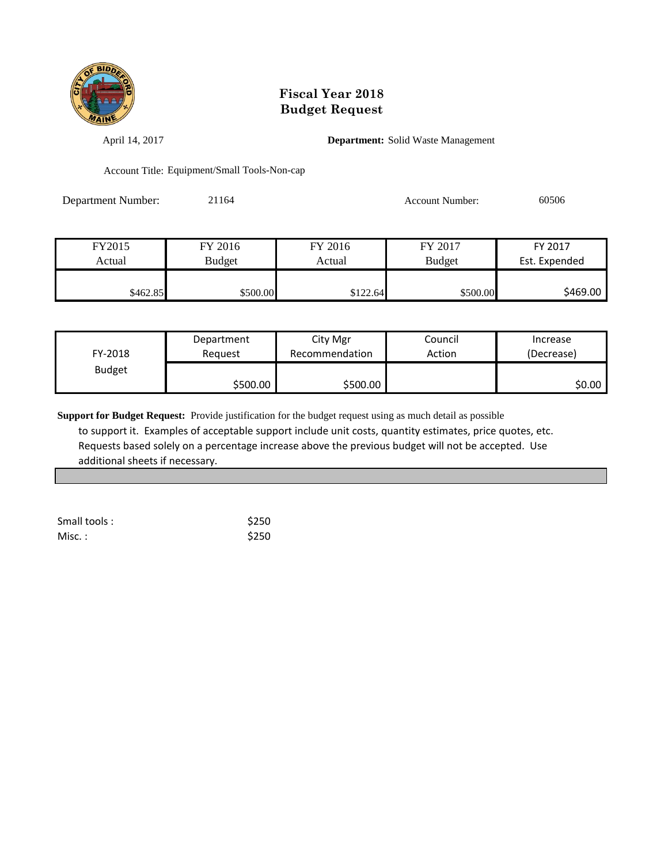

April 14, 2017 **Department:** Solid Waste Management

Account Title: Equipment/Small Tools-Non-cap

Department Number: 21164 Account Number: 60506

| FY2015   | FY 2016       | FY 2016  | FY 2017       | FY 2017       |
|----------|---------------|----------|---------------|---------------|
| Actual   | <b>Budget</b> | Actual   | <b>Budget</b> | Est. Expended |
|          |               |          |               |               |
| \$462.85 | \$500.00      | \$122.64 | \$500.00      | \$469.00      |

| FY-2018       | Department | City Mgr       | Council | Increase   |
|---------------|------------|----------------|---------|------------|
|               | Reguest    | Recommendation | Action  | (Decrease) |
| <b>Budget</b> | \$500.00   | \$500.00       |         | \$0.00     |

| Small tools: | \$250 |
|--------------|-------|
| Misc. :      | \$250 |